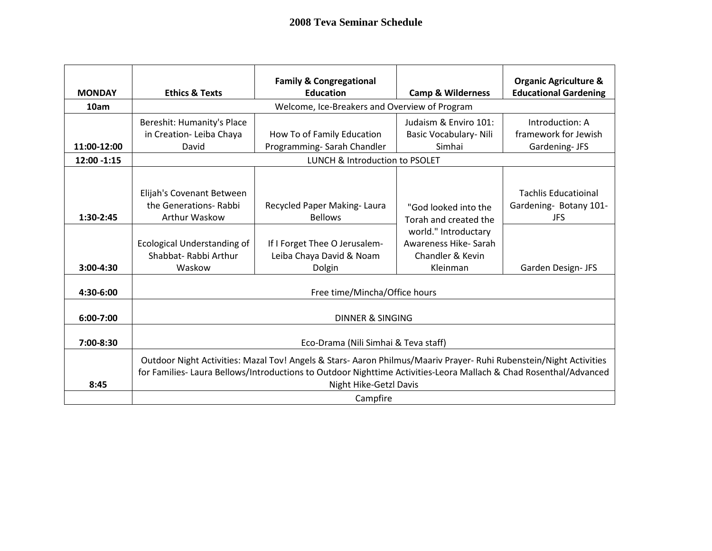| <b>MONDAY</b> | <b>Ethics &amp; Texts</b>                                                                                                                                                                                                                                         | <b>Family &amp; Congregational</b><br><b>Education</b>              | <b>Camp &amp; Wilderness</b>                                          | <b>Organic Agriculture &amp;</b><br><b>Educational Gardening</b>    |  |
|---------------|-------------------------------------------------------------------------------------------------------------------------------------------------------------------------------------------------------------------------------------------------------------------|---------------------------------------------------------------------|-----------------------------------------------------------------------|---------------------------------------------------------------------|--|
| 10am          |                                                                                                                                                                                                                                                                   | Welcome, Ice-Breakers and Overview of Program                       |                                                                       |                                                                     |  |
| 11:00-12:00   | Bereshit: Humanity's Place<br>in Creation- Leiba Chaya<br>David                                                                                                                                                                                                   | How To of Family Education<br>Programming-Sarah Chandler            | Judaism & Enviro 101:<br>Basic Vocabulary- Nili<br>Simhai             | Introduction: A<br>framework for Jewish<br>Gardening-JFS            |  |
| 12:00 -1:15   | LUNCH & Introduction to PSOLET                                                                                                                                                                                                                                    |                                                                     |                                                                       |                                                                     |  |
| 1:30-2:45     | Elijah's Covenant Between<br>the Generations- Rabbi<br>Arthur Waskow                                                                                                                                                                                              | Recycled Paper Making-Laura<br><b>Bellows</b>                       | "God looked into the<br>Torah and created the<br>world." Introductary | <b>Tachlis Educatioinal</b><br>Gardening- Botany 101-<br><b>JFS</b> |  |
| $3:00-4:30$   | <b>Ecological Understanding of</b><br>Shabbat- Rabbi Arthur<br>Waskow                                                                                                                                                                                             | If I Forget Thee O Jerusalem-<br>Leiba Chaya David & Noam<br>Dolgin | Awareness Hike-Sarah<br>Chandler & Kevin<br>Kleinman                  | Garden Design- JFS                                                  |  |
| 4:30-6:00     | Free time/Mincha/Office hours                                                                                                                                                                                                                                     |                                                                     |                                                                       |                                                                     |  |
| 6:00-7:00     | <b>DINNER &amp; SINGING</b>                                                                                                                                                                                                                                       |                                                                     |                                                                       |                                                                     |  |
| 7:00-8:30     | Eco-Drama (Nili Simhai & Teva staff)                                                                                                                                                                                                                              |                                                                     |                                                                       |                                                                     |  |
| 8:45          | Outdoor Night Activities: Mazal Tov! Angels & Stars- Aaron Philmus/Maariv Prayer- Ruhi Rubenstein/Night Activities<br>for Families- Laura Bellows/Introductions to Outdoor Nighttime Activities-Leora Mallach & Chad Rosenthal/Advanced<br>Night Hike-Getzl Davis |                                                                     |                                                                       |                                                                     |  |
|               | Campfire                                                                                                                                                                                                                                                          |                                                                     |                                                                       |                                                                     |  |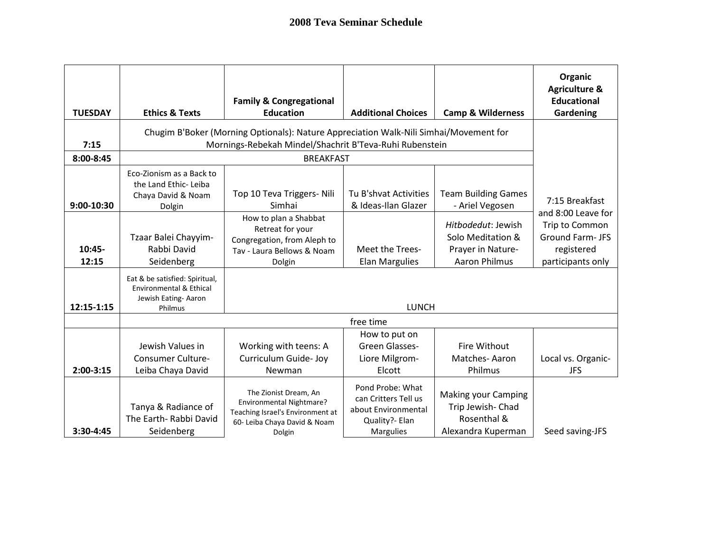| <b>TUESDAY</b>    | <b>Ethics &amp; Texts</b>                                                                                                                        | <b>Family &amp; Congregational</b><br><b>Education</b>                                                                          | <b>Additional Choices</b>                                                                             | <b>Camp &amp; Wilderness</b>                                                         | Organic<br><b>Agriculture &amp;</b><br><b>Educational</b><br>Gardening |
|-------------------|--------------------------------------------------------------------------------------------------------------------------------------------------|---------------------------------------------------------------------------------------------------------------------------------|-------------------------------------------------------------------------------------------------------|--------------------------------------------------------------------------------------|------------------------------------------------------------------------|
| 7:15              | Chugim B'Boker (Morning Optionals): Nature Appreciation Walk-Nili Simhai/Movement for<br>Mornings-Rebekah Mindel/Shachrit B'Teva-Ruhi Rubenstein |                                                                                                                                 |                                                                                                       |                                                                                      |                                                                        |
| 8:00-8:45         |                                                                                                                                                  | <b>BREAKFAST</b>                                                                                                                |                                                                                                       |                                                                                      |                                                                        |
| 9:00-10:30        | Eco-Zionism as a Back to<br>the Land Ethic-Leiba<br>Chaya David & Noam<br>Dolgin                                                                 | Top 10 Teva Triggers- Nili<br>Simhai                                                                                            | Tu B'shvat Activities<br>& Ideas-Ilan Glazer                                                          | <b>Team Building Games</b><br>- Ariel Vegosen                                        | 7:15 Breakfast<br>and 8:00 Leave for                                   |
| $10:45-$<br>12:15 | Tzaar Balei Chayyim-<br>Rabbi David<br>Seidenberg                                                                                                | How to plan a Shabbat<br>Retreat for your<br>Congregation, from Aleph to<br>Tav - Laura Bellows & Noam<br>Dolgin                | Meet the Trees-<br><b>Elan Margulies</b>                                                              | Hitbodedut: Jewish<br>Solo Meditation &<br>Prayer in Nature-<br><b>Aaron Philmus</b> | Trip to Common<br>Ground Farm- JFS<br>registered<br>participants only  |
| 12:15-1:15        | Eat & be satisfied: Spiritual,<br><b>Environmental &amp; Ethical</b><br>Jewish Eating-Aaron<br>Philmus                                           |                                                                                                                                 | <b>LUNCH</b>                                                                                          |                                                                                      |                                                                        |
|                   |                                                                                                                                                  |                                                                                                                                 |                                                                                                       |                                                                                      |                                                                        |
| $2:00-3:15$       | Jewish Values in<br><b>Consumer Culture-</b><br>Leiba Chaya David                                                                                | Working with teens: A<br>Curriculum Guide- Joy<br>Newman                                                                        | How to put on<br>Green Glasses-<br>Liore Milgrom-<br>Elcott                                           | Fire Without<br>Matches-Aaron<br>Philmus                                             | Local vs. Organic-<br><b>JFS</b>                                       |
| 3:30-4:45         | Tanya & Radiance of<br>The Earth- Rabbi David<br>Seidenberg                                                                                      | The Zionist Dream, An<br>Environmental Nightmare?<br>Teaching Israel's Environment at<br>60- Leiba Chaya David & Noam<br>Dolgin | Pond Probe: What<br>can Critters Tell us<br>about Environmental<br>Quality?- Elan<br><b>Margulies</b> | <b>Making your Camping</b><br>Trip Jewish- Chad<br>Rosenthal &<br>Alexandra Kuperman | Seed saving-JFS                                                        |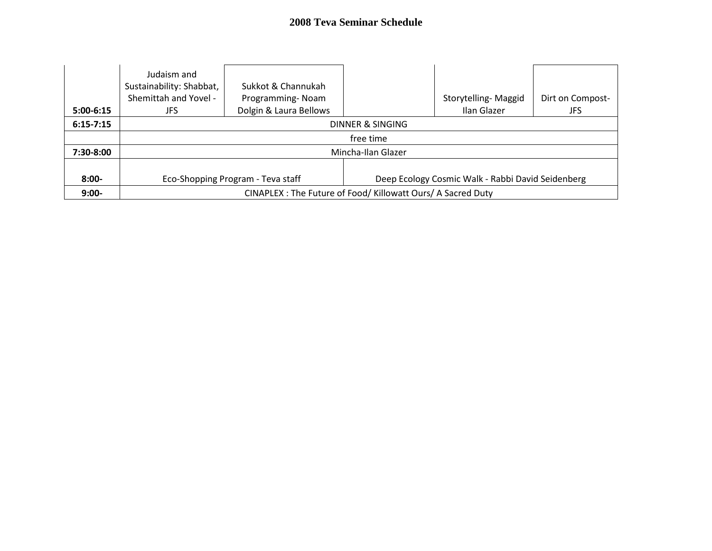| $5:00-6:15$   | Judaism and<br>Sustainability: Shabbat,<br>Shemittah and Yovel -<br>JFS                | Sukkot & Channukah<br>Programming-Noam<br>Dolgin & Laura Bellows |  | Storytelling-Maggid<br>Ilan Glazer | Dirt on Compost-<br>JFS |
|---------------|----------------------------------------------------------------------------------------|------------------------------------------------------------------|--|------------------------------------|-------------------------|
| $6:15 - 7:15$ | DINNER & SINGING                                                                       |                                                                  |  |                                    |                         |
|               | free time                                                                              |                                                                  |  |                                    |                         |
| 7:30-8:00     | Mincha-Ilan Glazer                                                                     |                                                                  |  |                                    |                         |
|               |                                                                                        |                                                                  |  |                                    |                         |
| $8:00-$       | Eco-Shopping Program - Teva staff<br>Deep Ecology Cosmic Walk - Rabbi David Seidenberg |                                                                  |  |                                    |                         |
| $9:00-$       | CINAPLEX : The Future of Food/ Killowatt Ours/ A Sacred Duty                           |                                                                  |  |                                    |                         |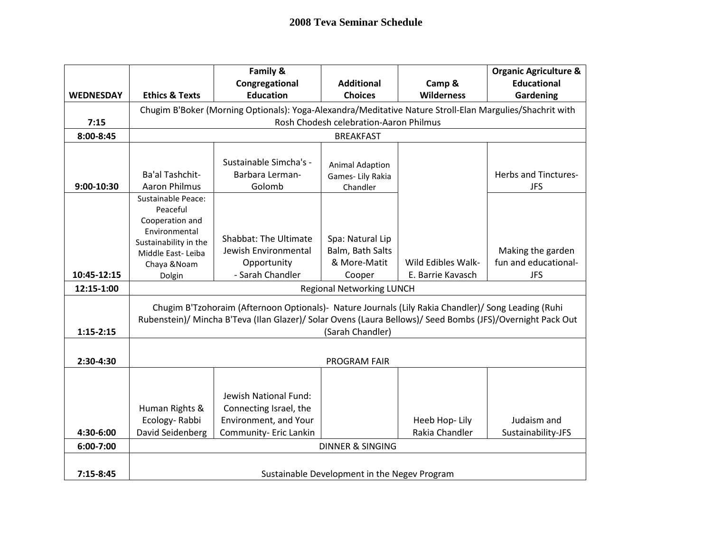|                  |                                                                                                            | Family &                                                                                                 |                                        |                    | <b>Organic Agriculture &amp;</b> |
|------------------|------------------------------------------------------------------------------------------------------------|----------------------------------------------------------------------------------------------------------|----------------------------------------|--------------------|----------------------------------|
|                  |                                                                                                            | Congregational                                                                                           | <b>Additional</b>                      | Camp &             | <b>Educational</b>               |
| <b>WEDNESDAY</b> | <b>Ethics &amp; Texts</b>                                                                                  | <b>Education</b>                                                                                         | <b>Choices</b>                         | <b>Wilderness</b>  | Gardening                        |
|                  |                                                                                                            | Chugim B'Boker (Morning Optionals): Yoga-Alexandra/Meditative Nature Stroll-Elan Margulies/Shachrit with |                                        |                    |                                  |
| 7:15             |                                                                                                            |                                                                                                          | Rosh Chodesh celebration-Aaron Philmus |                    |                                  |
| 8:00-8:45        |                                                                                                            |                                                                                                          | <b>BREAKFAST</b>                       |                    |                                  |
|                  |                                                                                                            |                                                                                                          |                                        |                    |                                  |
|                  |                                                                                                            | Sustainable Simcha's -                                                                                   | <b>Animal Adaption</b>                 |                    |                                  |
|                  | Ba'al Tashchit-                                                                                            | Barbara Lerman-                                                                                          | Games- Lily Rakia                      |                    | <b>Herbs and Tinctures-</b>      |
| 9:00-10:30       | <b>Aaron Philmus</b>                                                                                       | Golomb                                                                                                   | Chandler                               |                    | <b>JFS</b>                       |
|                  | Sustainable Peace:                                                                                         |                                                                                                          |                                        |                    |                                  |
|                  | Peaceful                                                                                                   |                                                                                                          |                                        |                    |                                  |
|                  | Cooperation and<br>Environmental                                                                           |                                                                                                          |                                        |                    |                                  |
|                  | Sustainability in the                                                                                      | <b>Shabbat: The Ultimate</b>                                                                             | Spa: Natural Lip                       |                    |                                  |
|                  | Middle East-Leiba                                                                                          | Jewish Environmental                                                                                     | Balm, Bath Salts                       |                    | Making the garden                |
|                  | Chaya & Noam                                                                                               | Opportunity                                                                                              | & More-Matit                           | Wild Edibles Walk- | fun and educational-             |
| 10:45-12:15      | Dolgin                                                                                                     | - Sarah Chandler                                                                                         | Cooper                                 | E. Barrie Kavasch  | <b>JFS</b>                       |
| 12:15-1:00       | <b>Regional Networking LUNCH</b>                                                                           |                                                                                                          |                                        |                    |                                  |
|                  | Chugim B'Tzohoraim (Afternoon Optionals)- Nature Journals (Lily Rakia Chandler)/ Song Leading (Ruhi        |                                                                                                          |                                        |                    |                                  |
|                  | Rubenstein)/ Mincha B'Teva (Ilan Glazer)/ Solar Ovens (Laura Bellows)/ Seed Bombs (JFS)/Overnight Pack Out |                                                                                                          |                                        |                    |                                  |
| $1:15 - 2:15$    | (Sarah Chandler)                                                                                           |                                                                                                          |                                        |                    |                                  |
|                  |                                                                                                            |                                                                                                          |                                        |                    |                                  |
| 2:30-4:30        | <b>PROGRAM FAIR</b>                                                                                        |                                                                                                          |                                        |                    |                                  |
|                  |                                                                                                            |                                                                                                          |                                        |                    |                                  |
|                  |                                                                                                            |                                                                                                          |                                        |                    |                                  |
|                  |                                                                                                            | Jewish National Fund:                                                                                    |                                        |                    |                                  |
|                  | Human Rights &                                                                                             | Connecting Israel, the                                                                                   |                                        |                    |                                  |
|                  | Ecology-Rabbi                                                                                              | Environment, and Your                                                                                    |                                        | Heeb Hop-Lily      | Judaism and                      |
| 4:30-6:00        | David Seidenberg                                                                                           | Community- Eric Lankin                                                                                   |                                        | Rakia Chandler     | Sustainability-JFS               |
| 6:00-7:00        | <b>DINNER &amp; SINGING</b>                                                                                |                                                                                                          |                                        |                    |                                  |
|                  |                                                                                                            |                                                                                                          |                                        |                    |                                  |
| $7:15-8:45$      | Sustainable Development in the Negev Program                                                               |                                                                                                          |                                        |                    |                                  |